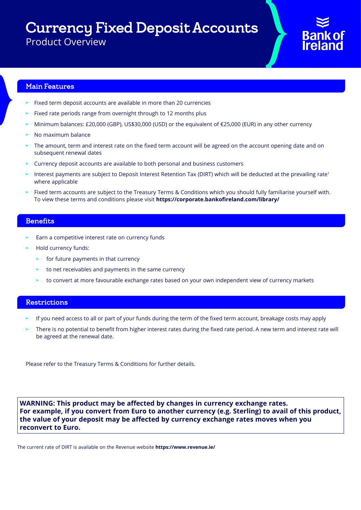Currency Fixed Deposit Accounts

Product Overview

### Main Features

- Fixed term deposit accounts are available in more than 20 currencies
- Fixed rate periods range from overnight through to 12 months plus
- Minimum balances: £20,000 (GBP), US\$30,000 (USD) or the equivalent of €25,000 (EUR) in any other currency
- No maximum balance
- The amount, term and interest rate on the fixed term account will be agreed on the account opening date and on subsequent renewal dates
- Currency deposit accounts are available to both personal and business customers
- Interest payments are subject to Deposit Interest Retention Tax (DIRT) which will be deducted at the prevailing rate<sup>1</sup> where applicable
- Fixed term accounts are subject to the Treasury Terms & Conditions which you should fully familiarise yourself with. To view these terms and conditions please visit **https://corporate.bankofireland.com/library/**

### **Benefits**

- Earn a competitive interest rate on currency funds
- Hold currency funds:
	- $\blacktriangleright$  for future payments in that currency
	- $\blacktriangleright$  to net receivables and payments in the same currency
	- to convert at more favourable exchange rates based on your own independent view of currency markets

### Restrictions

- If you need access to all or part of your funds during the term of the fixed term account, breakage costs may apply
- There is no potential to benefit from higher interest rates during the fixed rate period. A new term and interest rate will be agreed at the renewal date.

Please refer to the Treasury Terms & Conditions for further details.

**WARNING: This product may be affected by changes in currency exchange rates. For example, if you convert from Euro to another currency (e.g. Sterling) to avail of this product, the value of your deposit may be affected by currency exchange rates moves when you reconvert to Euro.**

The current rate of DIRT is available on the Revenue website **https://www.revenue.ie/**